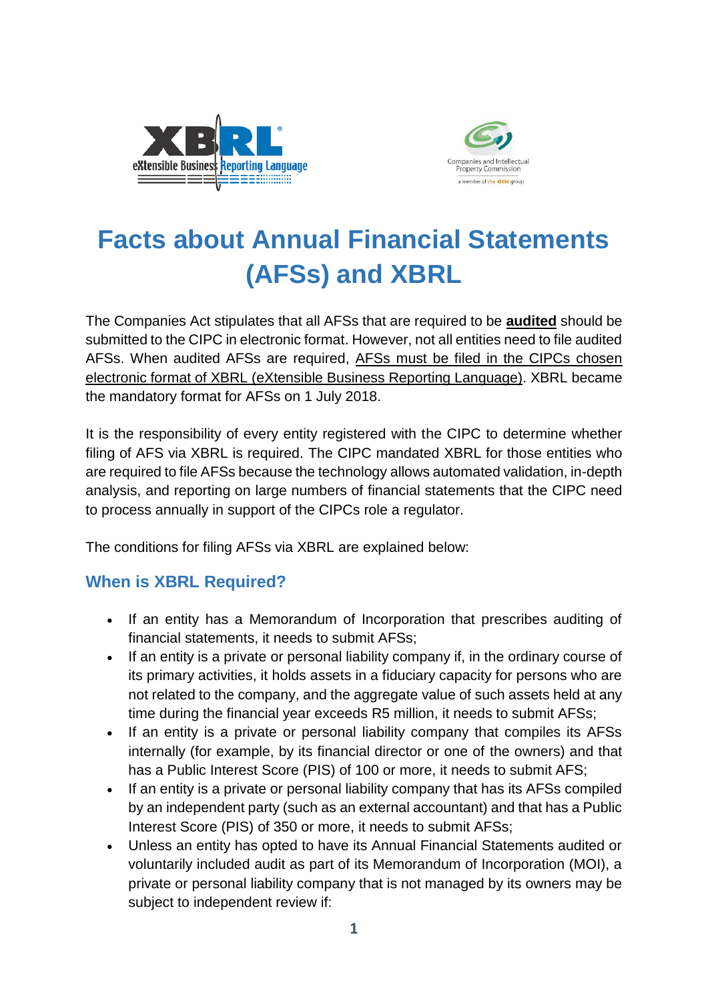



# **Facts about Annual Financial Statements (AFSs) and XBRL**

The Companies Act stipulates that all AFSs that are required to be **audited** should be submitted to the CIPC in electronic format. However, not all entities need to file audited AFSs. When audited AFSs are required, AFSs must be filed in the CIPCs chosen electronic format of XBRL (eXtensible Business Reporting Language). XBRL became the mandatory format for AFSs on 1 July 2018.

It is the responsibility of every entity registered with the CIPC to determine whether filing of AFS via XBRL is required. The CIPC mandated XBRL for those entities who are required to file AFSs because the technology allows automated validation, in-depth analysis, and reporting on large numbers of financial statements that the CIPC need to process annually in support of the CIPCs role a regulator.

The conditions for filing AFSs via XBRL are explained below:

## **When is XBRL Required?**

- If an entity has a Memorandum of Incorporation that prescribes auditing of financial statements, it needs to submit AFSs;
- If an entity is a private or personal liability company if, in the ordinary course of its primary activities, it holds assets in a fiduciary capacity for persons who are not related to the company, and the aggregate value of such assets held at any time during the financial year exceeds R5 million, it needs to submit AFSs;
- If an entity is a private or personal liability company that compiles its AFSs internally (for example, by its financial director or one of the owners) and that has a Public Interest Score (PIS) of 100 or more, it needs to submit AFS;
- If an entity is a private or personal liability company that has its AFSs compiled by an independent party (such as an external accountant) and that has a Public Interest Score (PIS) of 350 or more, it needs to submit AFSs;
- Unless an entity has opted to have its Annual Financial Statements audited or voluntarily included audit as part of its Memorandum of Incorporation (MOI), a private or personal liability company that is not managed by its owners may be subject to independent review if: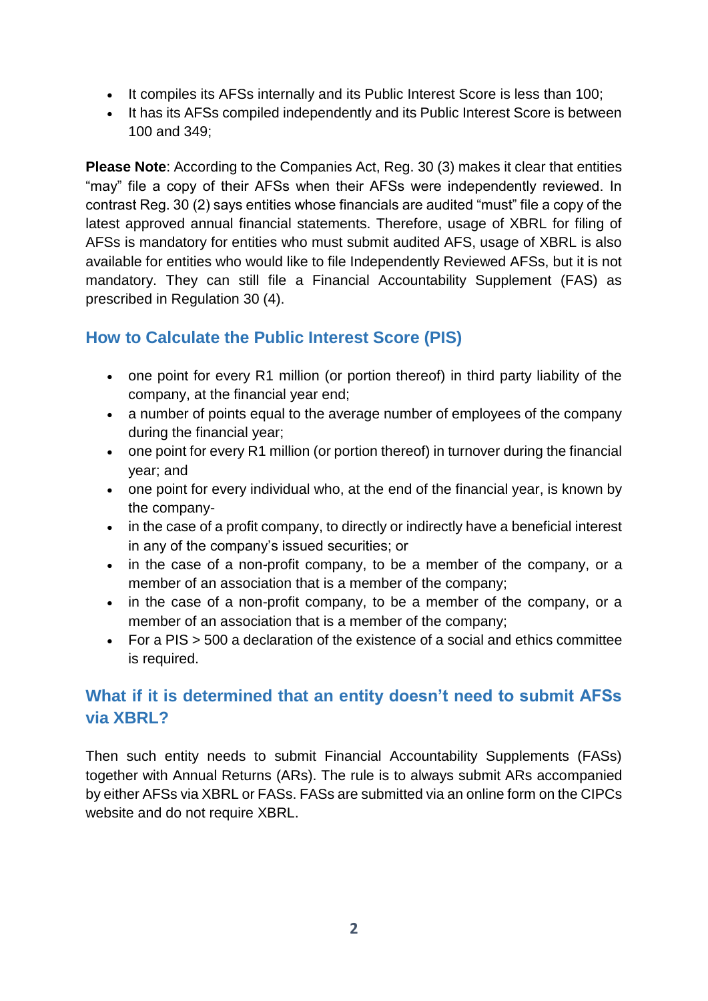- It compiles its AFSs internally and its Public Interest Score is less than 100;
- It has its AFSs compiled independently and its Public Interest Score is between 100 and 349;

**Please Note**: According to the Companies Act, Reg. 30 (3) makes it clear that entities "may" file a copy of their AFSs when their AFSs were independently reviewed. In contrast Reg. 30 (2) says entities whose financials are audited "must" file a copy of the latest approved annual financial statements. Therefore, usage of XBRL for filing of AFSs is mandatory for entities who must submit audited AFS, usage of XBRL is also available for entities who would like to file Independently Reviewed AFSs, but it is not mandatory. They can still file a Financial Accountability Supplement (FAS) as prescribed in Regulation 30 (4).

## **How to Calculate the Public Interest Score (PIS)**

- one point for every R1 million (or portion thereof) in third party liability of the company, at the financial year end;
- a number of points equal to the average number of employees of the company during the financial year;
- one point for every R1 million (or portion thereof) in turnover during the financial year; and
- one point for every individual who, at the end of the financial year, is known by the company-
- in the case of a profit company, to directly or indirectly have a beneficial interest in any of the company's issued securities; or
- in the case of a non-profit company, to be a member of the company, or a member of an association that is a member of the company;
- in the case of a non-profit company, to be a member of the company, or a member of an association that is a member of the company;
- For a PIS > 500 a declaration of the existence of a social and ethics committee is required.

# **What if it is determined that an entity doesn't need to submit AFSs via XBRL?**

Then such entity needs to submit Financial Accountability Supplements (FASs) together with Annual Returns (ARs). The rule is to always submit ARs accompanied by either AFSs via XBRL or FASs. FASs are submitted via an online form on the CIPCs website and do not require XBRL.